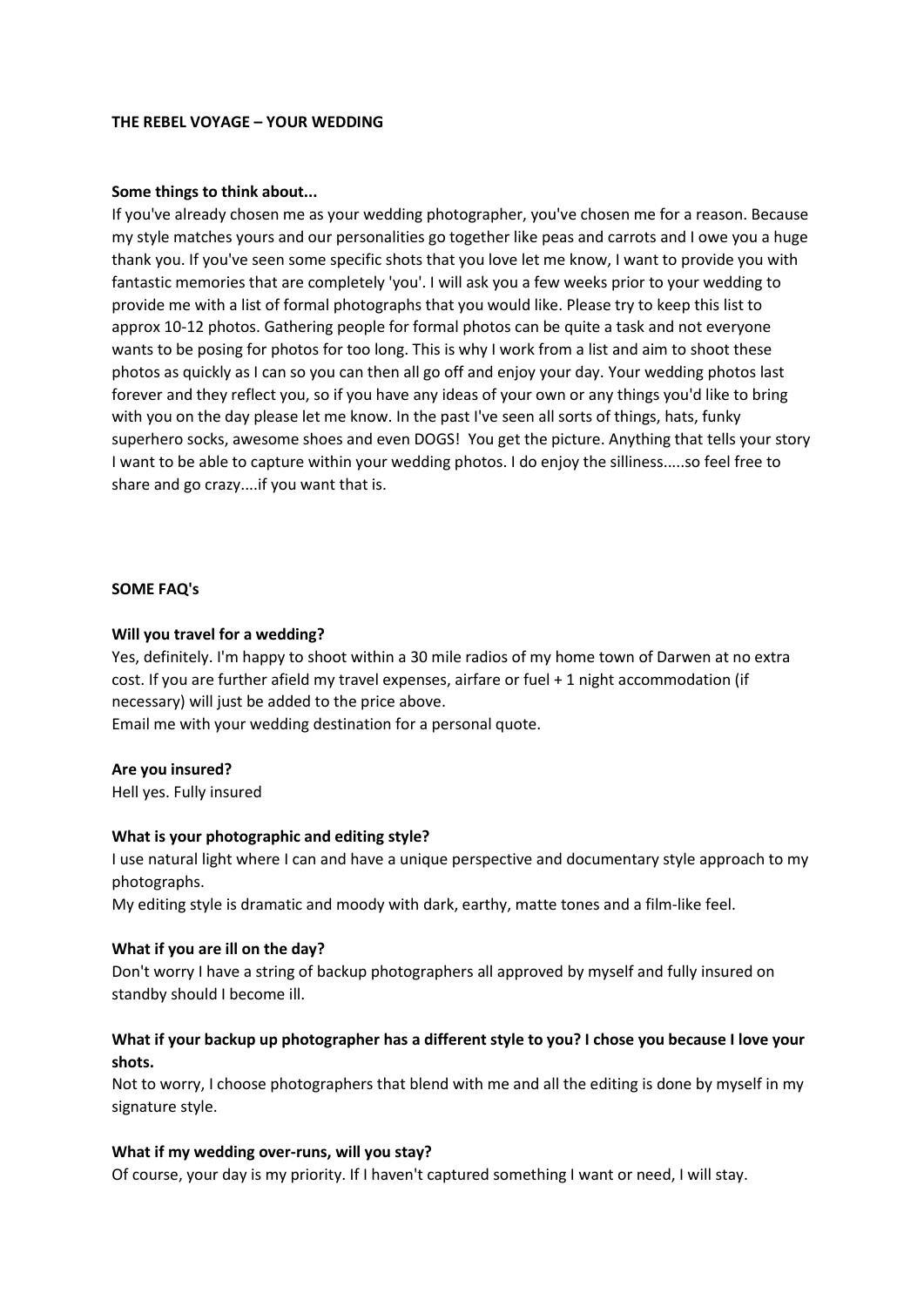## **THE REBEL VOYAGE – YOUR WEDDING**

## **Some things to think about...**

If you've already chosen me as your wedding photographer, you've chosen me for a reason. Because my style matches yours and our personalities go together like peas and carrots and I owe you a huge thank you. If you've seen some specific shots that you love let me know, I want to provide you with fantastic memories that are completely 'you'. I will ask you a few weeks prior to your wedding to provide me with a list of formal photographs that you would like. Please try to keep this list to approx 10-12 photos. Gathering people for formal photos can be quite a task and not everyone wants to be posing for photos for too long. This is why I work from a list and aim to shoot these photos as quickly as I can so you can then all go off and enjoy your day. Your wedding photos last forever and they reflect you, so if you have any ideas of your own or any things you'd like to bring with you on the day please let me know. In the past I've seen all sorts of things, hats, funky superhero socks, awesome shoes and even DOGS! You get the picture. Anything that tells your story I want to be able to capture within your wedding photos. I do enjoy the silliness.....so feel free to share and go crazy....if you want that is.

## **SOME FAQ's**

## **Will you travel for a wedding?**

Yes, definitely. I'm happy to shoot within a 30 mile radios of my home town of Darwen at no extra cost. If you are further afield my travel expenses, airfare or fuel + 1 night accommodation (if necessary) will just be added to the price above.

Email me with your wedding destination for a personal quote.

### **Are you insured?**

Hell yes. Fully insured

### **What is your photographic and editing style?**

I use natural light where I can and have a unique perspective and documentary style approach to my photographs.

My editing style is dramatic and moody with dark, earthy, matte tones and a film-like feel.

### **What if you are ill on the day?**

Don't worry I have a string of backup photographers all approved by myself and fully insured on standby should I become ill.

## **What if your backup up photographer has a different style to you? I chose you because I love your shots.**

Not to worry, I choose photographers that blend with me and all the editing is done by myself in my signature style.

## **What if my wedding over-runs, will you stay?**

Of course, your day is my priority. If I haven't captured something I want or need, I will stay.